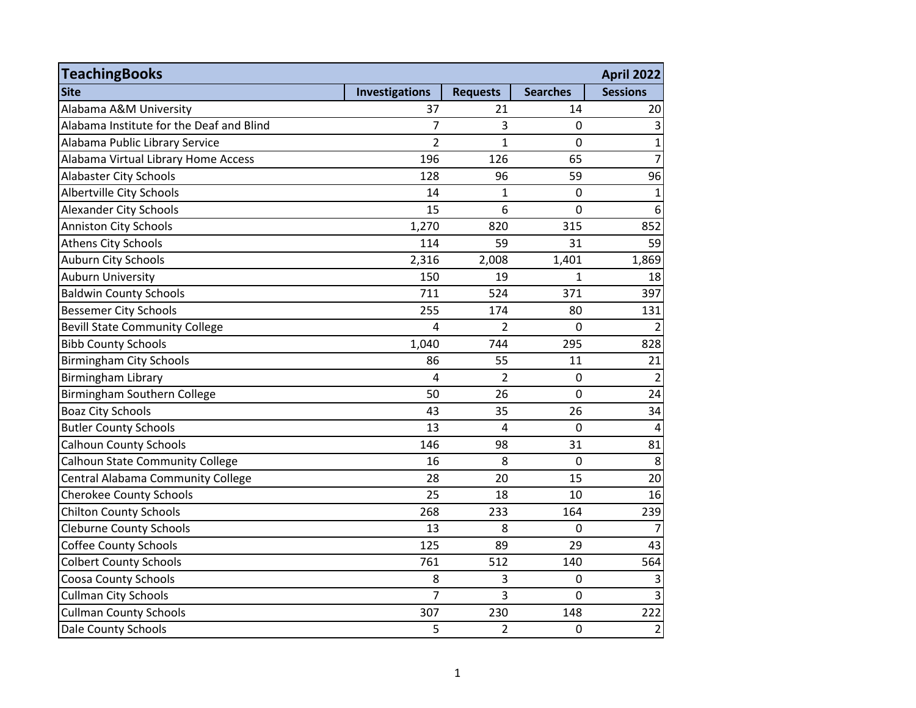| <b>TeachingBooks</b>                     |                |                 |                 | <b>April 2022</b> |
|------------------------------------------|----------------|-----------------|-----------------|-------------------|
| <b>Site</b>                              | Investigations | <b>Requests</b> | <b>Searches</b> | <b>Sessions</b>   |
| Alabama A&M University                   | 37             | 21              | 14              | 20                |
| Alabama Institute for the Deaf and Blind | $\overline{7}$ | 3               | 0               | $\mathbf{3}$      |
| Alabama Public Library Service           | $\overline{2}$ | $\mathbf{1}$    | 0               | $\mathbf{1}$      |
| Alabama Virtual Library Home Access      | 196            | 126             | 65              | $\overline{7}$    |
| <b>Alabaster City Schools</b>            | 128            | 96              | 59              | 96                |
| Albertville City Schools                 | 14             | 1               | $\mathbf 0$     | $\mathbf{1}$      |
| <b>Alexander City Schools</b>            | 15             | 6               | $\overline{0}$  | $6\phantom{1}6$   |
| <b>Anniston City Schools</b>             | 1,270          | 820             | 315             | 852               |
| <b>Athens City Schools</b>               | 114            | 59              | 31              | 59                |
| Auburn City Schools                      | 2,316          | 2,008           | 1,401           | 1,869             |
| <b>Auburn University</b>                 | 150            | 19              | $\mathbf{1}$    | 18                |
| <b>Baldwin County Schools</b>            | 711            | 524             | 371             | 397               |
| <b>Bessemer City Schools</b>             | 255            | 174             | 80              | 131               |
| <b>Bevill State Community College</b>    | $\overline{4}$ | $\overline{2}$  | 0               | $\overline{2}$    |
| <b>Bibb County Schools</b>               | 1,040          | 744             | 295             | 828               |
| <b>Birmingham City Schools</b>           | 86             | 55              | 11              | 21                |
| Birmingham Library                       | $\overline{4}$ | $\overline{2}$  | $\mathbf 0$     | $\overline{2}$    |
| Birmingham Southern College              | 50             | 26              | $\mathbf 0$     | 24                |
| <b>Boaz City Schools</b>                 | 43             | 35              | 26              | 34                |
| <b>Butler County Schools</b>             | 13             | $\overline{4}$  | $\mathbf 0$     | $\overline{4}$    |
| <b>Calhoun County Schools</b>            | 146            | 98              | 31              | 81                |
| <b>Calhoun State Community College</b>   | 16             | 8               | $\overline{0}$  | 8                 |
| Central Alabama Community College        | 28             | 20              | 15              | 20                |
| <b>Cherokee County Schools</b>           | 25             | 18              | 10              | 16                |
| <b>Chilton County Schools</b>            | 268            | 233             | 164             | 239               |
| <b>Cleburne County Schools</b>           | 13             | 8               | $\overline{0}$  | $\overline{7}$    |
| <b>Coffee County Schools</b>             | 125            | 89              | 29              | 43                |
| <b>Colbert County Schools</b>            | 761            | 512             | 140             | 564               |
| <b>Coosa County Schools</b>              | 8              | 3               | 0               | $\overline{3}$    |
| <b>Cullman City Schools</b>              | $\overline{7}$ | 3               | 0               | $\overline{3}$    |
| <b>Cullman County Schools</b>            | 307            | 230             | 148             | 222               |
| Dale County Schools                      | 5              | $\overline{2}$  | $\mathbf 0$     | $\overline{2}$    |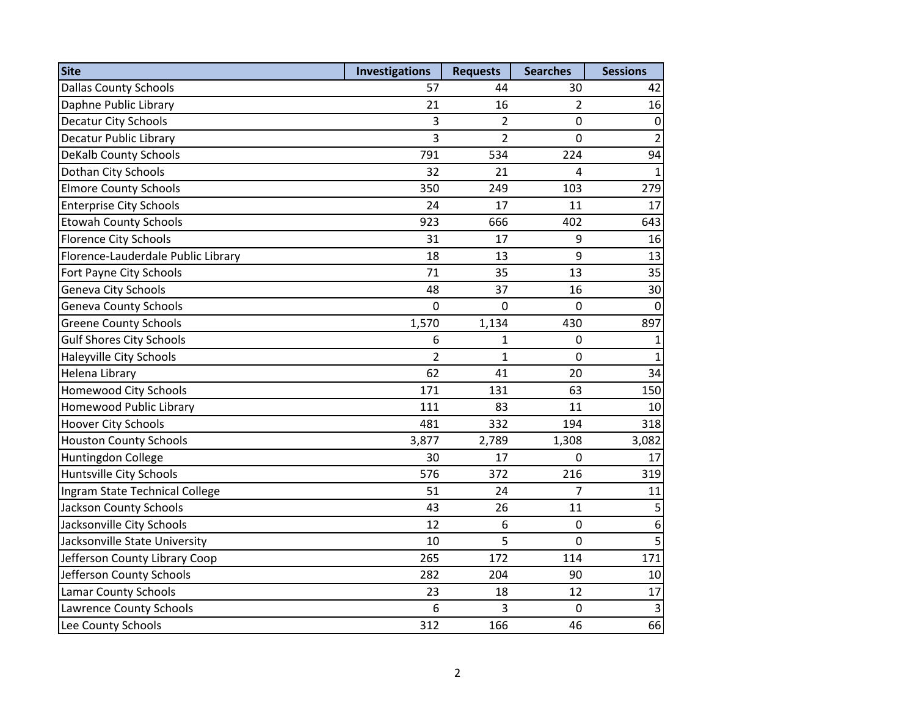| <b>Site</b>                        | <b>Investigations</b> | <b>Requests</b> | <b>Searches</b> | <b>Sessions</b> |
|------------------------------------|-----------------------|-----------------|-----------------|-----------------|
| <b>Dallas County Schools</b>       | 57                    | 44              | 30              | 42              |
| Daphne Public Library              | 21                    | 16              | $\overline{2}$  | 16              |
| <b>Decatur City Schools</b>        | 3                     | $\overline{2}$  | 0               | $\pmb{0}$       |
| <b>Decatur Public Library</b>      | 3                     | $\overline{2}$  | 0               | $\overline{2}$  |
| <b>DeKalb County Schools</b>       | 791                   | 534             | 224             | 94              |
| Dothan City Schools                | 32                    | 21              | 4               | $\mathbf{1}$    |
| <b>Elmore County Schools</b>       | 350                   | 249             | 103             | 279             |
| <b>Enterprise City Schools</b>     | 24                    | 17              | 11              | 17              |
| <b>Etowah County Schools</b>       | 923                   | 666             | 402             | 643             |
| <b>Florence City Schools</b>       | 31                    | 17              | 9               | 16              |
| Florence-Lauderdale Public Library | 18                    | 13              | 9               | 13              |
| Fort Payne City Schools            | 71                    | 35              | 13              | 35              |
| Geneva City Schools                | 48                    | 37              | 16              | 30              |
| <b>Geneva County Schools</b>       | $\mathbf 0$           | $\overline{0}$  | 0               | $\mathbf 0$     |
| <b>Greene County Schools</b>       | 1,570                 | 1,134           | 430             | 897             |
| <b>Gulf Shores City Schools</b>    | 6                     | 1               | 0               | $\mathbf{1}$    |
| Haleyville City Schools            | $\overline{2}$        | $\mathbf{1}$    | 0               | $\mathbf{1}$    |
| Helena Library                     | 62                    | 41              | 20              | 34              |
| <b>Homewood City Schools</b>       | 171                   | 131             | 63              | 150             |
| Homewood Public Library            | 111                   | 83              | 11              | 10              |
| <b>Hoover City Schools</b>         | 481                   | 332             | 194             | 318             |
| <b>Houston County Schools</b>      | 3,877                 | 2,789           | 1,308           | 3,082           |
| Huntingdon College                 | 30                    | 17              | 0               | 17              |
| Huntsville City Schools            | 576                   | 372             | 216             | 319             |
| Ingram State Technical College     | 51                    | 24              | 7               | 11              |
| <b>Jackson County Schools</b>      | 43                    | 26              | 11              | 5               |
| Jacksonville City Schools          | 12                    | 6               | 0               | $\overline{6}$  |
| Jacksonville State University      | 10                    | 5               | 0               | 5               |
| Jefferson County Library Coop      | 265                   | 172             | 114             | 171             |
| Jefferson County Schools           | 282                   | 204             | 90              | 10              |
| <b>Lamar County Schools</b>        | 23                    | 18              | 12              | 17              |
| <b>Lawrence County Schools</b>     | 6                     | 3               | 0               | $\mathsf 3$     |
| Lee County Schools                 | 312                   | 166             | 46              | 66              |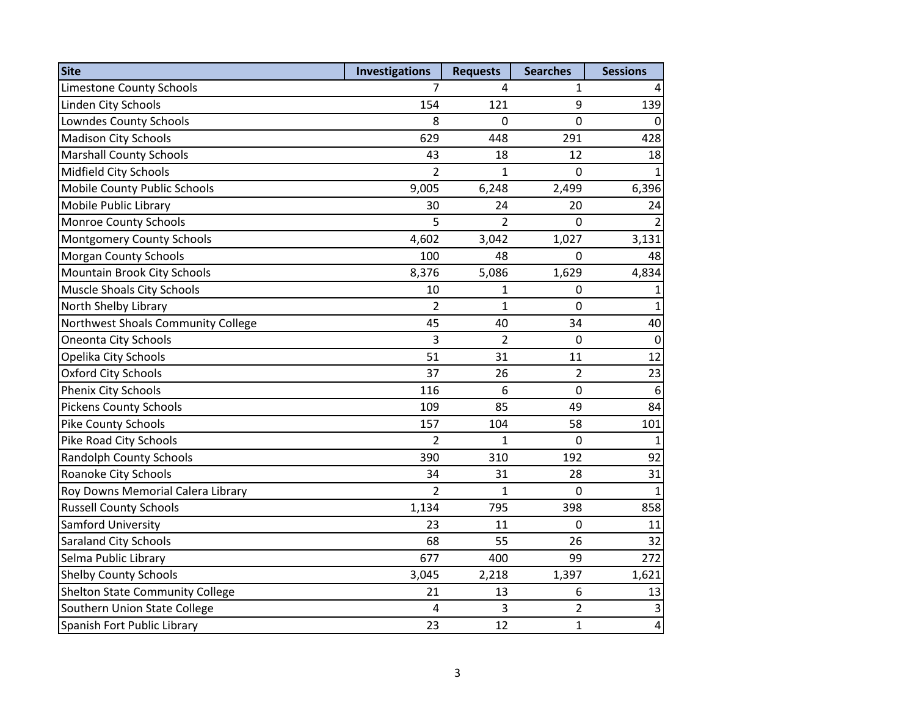| Site                               | <b>Investigations</b> | <b>Requests</b> | <b>Searches</b> | <b>Sessions</b>  |
|------------------------------------|-----------------------|-----------------|-----------------|------------------|
| <b>Limestone County Schools</b>    | 7                     | 4               | 1               | $\overline{4}$   |
| Linden City Schools                | 154                   | 121             | 9               | 139              |
| <b>Lowndes County Schools</b>      | 8                     | 0               | $\overline{0}$  | 0                |
| <b>Madison City Schools</b>        | 629                   | 448             | 291             | 428              |
| <b>Marshall County Schools</b>     | 43                    | 18              | 12              | 18               |
| Midfield City Schools              | $\overline{2}$        | $\mathbf{1}$    | $\overline{0}$  | $\mathbf{1}$     |
| Mobile County Public Schools       | 9,005                 | 6,248           | 2,499           | 6,396            |
| Mobile Public Library              | 30                    | 24              | 20              | 24               |
| <b>Monroe County Schools</b>       | 5                     | $\overline{2}$  | $\mathbf 0$     | $\overline{2}$   |
| <b>Montgomery County Schools</b>   | 4,602                 | 3,042           | 1,027           | 3,131            |
| <b>Morgan County Schools</b>       | 100                   | 48              | $\mathbf 0$     | 48               |
| Mountain Brook City Schools        | 8,376                 | 5,086           | 1,629           | 4,834            |
| <b>Muscle Shoals City Schools</b>  | 10                    | 1               | $\mathbf 0$     | $\mathbf{1}$     |
| North Shelby Library               | $\overline{2}$        | $\overline{1}$  | $\mathbf 0$     | $\mathbf{1}$     |
| Northwest Shoals Community College | 45                    | 40              | 34              | 40               |
| <b>Oneonta City Schools</b>        | 3                     | $\overline{2}$  | $\mathbf 0$     | $\pmb{0}$        |
| Opelika City Schools               | 51                    | 31              | 11              | 12               |
| <b>Oxford City Schools</b>         | 37                    | 26              | $\overline{2}$  | 23               |
| Phenix City Schools                | 116                   | 6               | $\mathbf 0$     | $\boldsymbol{6}$ |
| <b>Pickens County Schools</b>      | 109                   | 85              | 49              | 84               |
| Pike County Schools                | 157                   | 104             | 58              | 101              |
| Pike Road City Schools             | $\overline{2}$        | $\mathbf{1}$    | $\mathbf 0$     | $\mathbf{1}$     |
| <b>Randolph County Schools</b>     | 390                   | 310             | 192             | 92               |
| Roanoke City Schools               | 34                    | 31              | 28              | 31               |
| Roy Downs Memorial Calera Library  | $\overline{2}$        | $\mathbf{1}$    | $\mathbf 0$     | $\mathbf{1}$     |
| <b>Russell County Schools</b>      | 1,134                 | 795             | 398             | 858              |
| Samford University                 | 23                    | 11              | $\overline{0}$  | 11               |
| Saraland City Schools              | 68                    | 55              | 26              | 32               |
| Selma Public Library               | 677                   | 400             | 99              | 272              |
| <b>Shelby County Schools</b>       | 3,045                 | 2,218           | 1,397           | 1,621            |
| Shelton State Community College    | 21                    | 13              | 6               | 13               |
| Southern Union State College       | $\overline{4}$        | 3               | $\overline{2}$  | $\mathsf 3$      |
| Spanish Fort Public Library        | 23                    | 12              | $\mathbf{1}$    | $\pmb{4}$        |